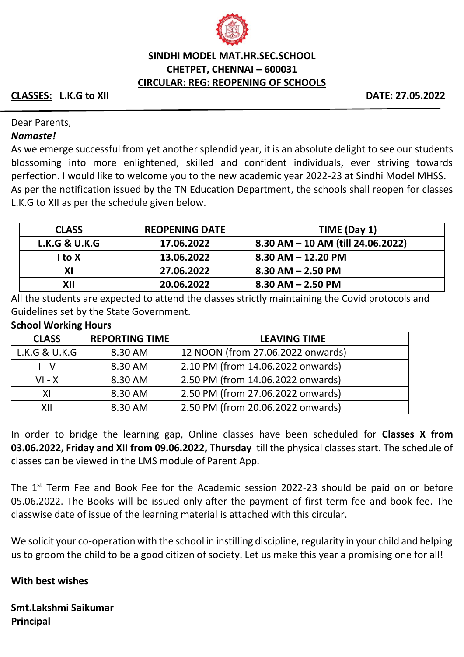

## **SINDHI MODEL MAT.HR.SEC.SCHOOL CHETPET, CHENNAI – 600031 CIRCULAR: REG: REOPENING OF SCHOOLS**

### **CLASSES: L.K.G to XII DATE: 27.05.2022**

#### Dear Parents,

#### *Namaste!*

As we emerge successful from yet another splendid year, it is an absolute delight to see our students blossoming into more enlightened, skilled and confident individuals, ever striving towards perfection. I would like to welcome you to the new academic year 2022-23 at Sindhi Model MHSS. As per the notification issued by the TN Education Department, the schools shall reopen for classes L.K.G to XII as per the schedule given below.

| <b>CLASS</b>             | <b>REOPENING DATE</b> | TIME (Day 1)                        |
|--------------------------|-----------------------|-------------------------------------|
| <b>L.K.G &amp; U.K.G</b> | 17.06.2022            | 8.30 AM $-$ 10 AM (till 24.06.2022) |
| I to X                   | 13.06.2022            | $8.30$ AM $-$ 12.20 PM              |
| ΧI                       | 27.06.2022            | $8.30$ AM $-$ 2.50 PM               |
| XII                      | 20.06.2022            | $8.30$ AM $- 2.50$ PM               |

All the students are expected to attend the classes strictly maintaining the Covid protocols and Guidelines set by the State Government.

#### **School Working Hours**

| <b>CLASS</b>  | <b>REPORTING TIME</b> | <b>LEAVING TIME</b>               |  |
|---------------|-----------------------|-----------------------------------|--|
| L.K.G & U.K.G | 8.30 AM               | 12 NOON (from 27.06.2022 onwards) |  |
| $I - V$       | 8.30 AM               | 2.10 PM (from 14.06.2022 onwards) |  |
| $VI - X$      | 8.30 AM               | 2.50 PM (from 14.06.2022 onwards) |  |
| XI            | 8.30 AM               | 2.50 PM (from 27.06.2022 onwards) |  |
| XII           | 8.30 AM               | 2.50 PM (from 20.06.2022 onwards) |  |

In order to bridge the learning gap, Online classes have been scheduled for **Classes X from 03.06.2022, Friday and XII from 09.06.2022, Thursday** till the physical classes start. The schedule of classes can be viewed in the LMS module of Parent App.

The  $1<sup>st</sup>$  Term Fee and Book Fee for the Academic session 2022-23 should be paid on or before 05.06.2022. The Books will be issued only after the payment of first term fee and book fee. The classwise date of issue of the learning material is attached with this circular.

We solicit your co-operation with the school in instilling discipline, regularity in your child and helping us to groom the child to be a good citizen of society. Let us make this year a promising one for all!

#### **With best wishes**

**Smt.Lakshmi Saikumar Principal**